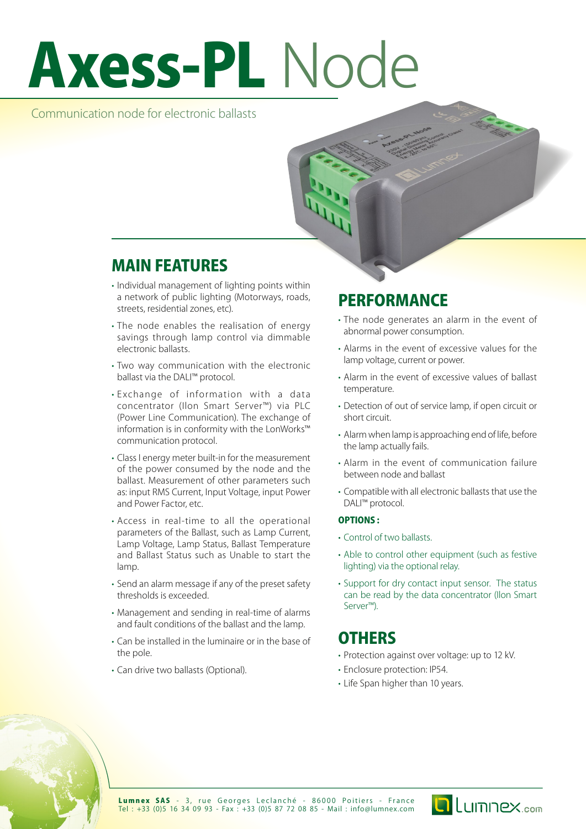# Axess-PL Node

## Communication node for electronic ballasts

## MAIN FEATURES

- Individual management of lighting points within a network of public lighting (Motorways, roads, streets, residential zones, etc).
- The node enables the realisation of energy savings through lamp control via dimmable electronic ballasts.
- Two way communication with the electronic ballast via the DALI™ protocol.
- • Exchange of information with a data concentrator (Ilon Smart Server™) via PLC (Power Line Communication). The exchange of information is in conformity with the LonWorks™ communication protocol.
- • Class I energy meter built-in for the measurement of the power consumed by the node and the ballast. Measurement of other parameters such as: input RMS Current, Input Voltage, input Power and Power Factor, etc.
- • Access in real-time to all the operational parameters of the Ballast, such as Lamp Current, Lamp Voltage, Lamp Status, Ballast Temperature and Ballast Status such as Unable to start the lamn
- Send an alarm message if any of the preset safety thresholds is exceeded.
- • Management and sending in real-time of alarms and fault conditions of the ballast and the lamp.
- • Can be installed in the luminaire or in the base of the pole.
- • Can drive two ballasts (Optional).

# **PERFORMANCE**

- The node generates an alarm in the event of abnormal power consumption.
- • Alarms in the event of excessive values for the lamp voltage, current or power.
- Alarm in the event of excessive values of ballast temperature.
- Detection of out of service lamp, if open circuit or short circuit.
- Alarm when lamp is approaching end of life, before the lamp actually fails.
- Alarm in the event of communication failure between node and ballast
- • Compatible with all electronic ballasts that use the DALI<sup>™</sup> protocol.

### OPTIONS :

- • Control of two ballasts.
- Able to control other equipment (such as festive lighting) via the optional relay.
- Support for dry contact input sensor. The status can be read by the data concentrator (Ilon Smart Server™).

## **OTHERS**

- • Protection against over voltage: up to 12 kV.
- Enclosure protection: IP54.
- Life Span higher than 10 years.